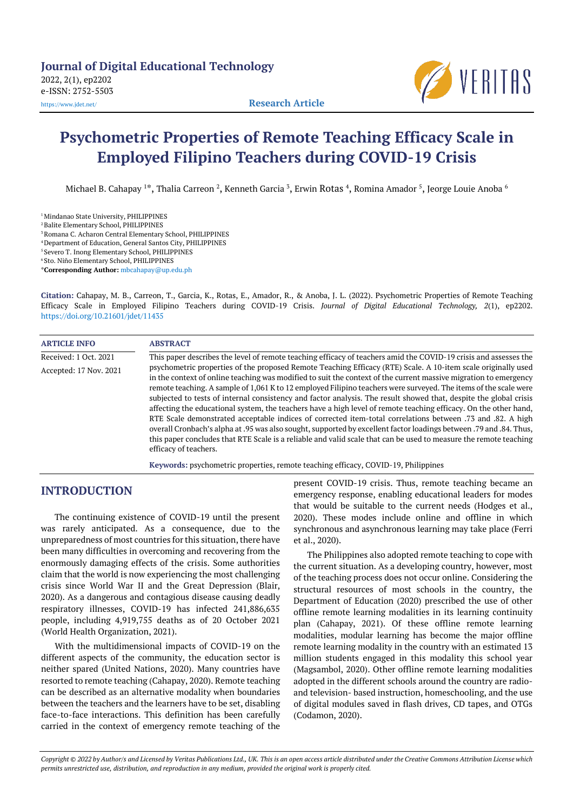

# **Psychometric Properties of Remote Teaching Efficacy Scale in Employed Filipino Teachers during COVID-19 Crisis**

Michael B. Cahapay <sup>1</sup>\*, Thalia Carreon <sup>2</sup>, Kenneth Garcia <sup>3</sup>, Erwin Rotas <sup>4</sup>, Romina Amador <sup>5</sup>, Jeorge Louie Anoba <sup>6</sup>

<sup>1</sup> Mindanao State University, PHILIPPINES <sup>2</sup> Balite Elementary School, PHILIPPINES 3Romana C. Acharon Central Elementary School, PHILIPPINES <sup>4</sup> Department of Education, General Santos City, PHILIPPINES <sup>5</sup> Severo T. Inong Elementary School, PHILIPPINES <sup>6</sup> Sto. Niño Elementary School, PHILIPPINES \***Corresponding Author:** [mbcahapay@up.edu.ph](mailto:mbcahapay@up.edu.ph)

**Citation:** Cahapay, M. B., Carreon, T., Garcia, K., Rotas, E., Amador, R., & Anoba, J. L. (2022). Psychometric Properties of Remote Teaching Efficacy Scale in Employed Filipino Teachers during COVID-19 Crisis. *Journal of Digital Educational Technology, 2*(1), ep2202. <https://doi.org/10.21601/jdet/11435>

| <b>ARTICLE INFO</b>                             | <b>ABSTRACT</b>                                                                                                                                                                                                                                                                                                                                                                                                                                                                                                                                                                                                                                                                                                                                                                                                                                                                                                                                                                  |
|-------------------------------------------------|----------------------------------------------------------------------------------------------------------------------------------------------------------------------------------------------------------------------------------------------------------------------------------------------------------------------------------------------------------------------------------------------------------------------------------------------------------------------------------------------------------------------------------------------------------------------------------------------------------------------------------------------------------------------------------------------------------------------------------------------------------------------------------------------------------------------------------------------------------------------------------------------------------------------------------------------------------------------------------|
|                                                 | This paper describes the level of remote teaching efficacy of teachers amid the COVID-19 crisis and assesses the                                                                                                                                                                                                                                                                                                                                                                                                                                                                                                                                                                                                                                                                                                                                                                                                                                                                 |
| Received: 1 Oct. 2021<br>Accepted: 17 Nov. 2021 | psychometric properties of the proposed Remote Teaching Efficacy (RTE) Scale. A 10-item scale originally used<br>in the context of online teaching was modified to suit the context of the current massive migration to emergency<br>remote teaching. A sample of 1,061 K to 12 employed Filipino teachers were surveyed. The items of the scale were<br>subjected to tests of internal consistency and factor analysis. The result showed that, despite the global crisis<br>affecting the educational system, the teachers have a high level of remote teaching efficacy. On the other hand,<br>RTE Scale demonstrated acceptable indices of corrected item-total correlations between .73 and .82. A high<br>overall Cronbach's alpha at .95 was also sought, supported by excellent factor loadings between .79 and .84. Thus,<br>this paper concludes that RTE Scale is a reliable and valid scale that can be used to measure the remote teaching<br>efficacy of teachers. |

**Keywords:** psychometric properties, remote teaching efficacy, COVID-19, Philippines

## **INTRODUCTION**

The continuing existence of COVID-19 until the present was rarely anticipated. As a consequence, due to the unpreparedness of most countries for this situation, there have been many difficulties in overcoming and recovering from the enormously damaging effects of the crisis. Some authorities claim that the world is now experiencing the most challenging crisis since World War II and the Great Depression (Blair, 2020). As a dangerous and contagious disease causing deadly respiratory illnesses, COVID-19 has infected 241,886,635 people, including 4,919,755 deaths as of 20 October 2021 (World Health Organization, 2021).

With the multidimensional impacts of COVID-19 on the different aspects of the community, the education sector is neither spared (United Nations, 2020). Many countries have resorted to remote teaching (Cahapay, 2020). Remote teaching can be described as an alternative modality when boundaries between the teachers and the learners have to be set, disabling face-to-face interactions. This definition has been carefully carried in the context of emergency remote teaching of the present COVID-19 crisis. Thus, remote teaching became an emergency response, enabling educational leaders for modes that would be suitable to the current needs (Hodges et al., 2020). These modes include online and offline in which synchronous and asynchronous learning may take place (Ferri et al., 2020).

The Philippines also adopted remote teaching to cope with the current situation. As a developing country, however, most of the teaching process does not occur online. Considering the structural resources of most schools in the country, the Department of Education (2020) prescribed the use of other offline remote learning modalities in its learning continuity plan (Cahapay, 2021). Of these offline remote learning modalities, modular learning has become the major offline remote learning modality in the country with an estimated 13 million students engaged in this modality this school year (Magsambol, 2020). Other offline remote learning modalities adopted in the different schools around the country are radioand television- based instruction, homeschooling, and the use of digital modules saved in flash drives, CD tapes, and OTGs (Codamon, 2020).

Copyright @ 2022 by Author/s and Licensed by Veritas Publications Ltd., UK. This is an open access article distributed under the Creative Commons Attribution License which permits unrestricted use, distribution, and reproduction in any medium, provided the original work is properly cited.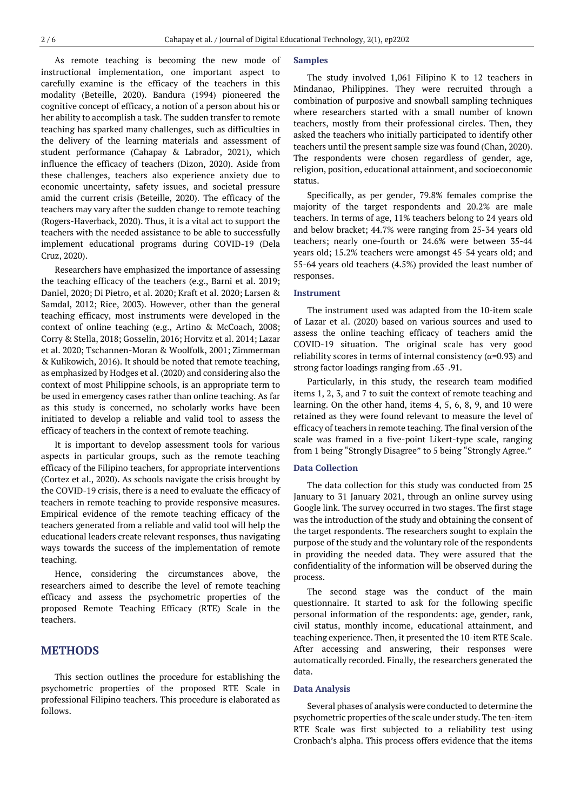As remote teaching is becoming the new mode of instructional implementation, one important aspect to carefully examine is the efficacy of the teachers in this modality (Beteille, 2020). Bandura (1994) pioneered the cognitive concept of efficacy, a notion of a person about his or her ability to accomplish a task. The sudden transfer to remote teaching has sparked many challenges, such as difficulties in the delivery of the learning materials and assessment of student performance (Cahapay & Labrador, 2021), which influence the efficacy of teachers (Dizon, 2020). Aside from these challenges, teachers also experience anxiety due to economic uncertainty, safety issues, and societal pressure amid the current crisis (Beteille, 2020). The efficacy of the teachers may vary after the sudden change to remote teaching (Rogers-Haverback, 2020). Thus, it is a vital act to support the teachers with the needed assistance to be able to successfully implement educational programs during COVID-19 (Dela Cruz, 2020).

Researchers have emphasized the importance of assessing the teaching efficacy of the teachers (e.g., Barni et al. 2019; Daniel, 2020; Di Pietro, et al. 2020; Kraft et al. 2020; Larsen & Samdal, 2012; Rice, 2003). However, other than the general teaching efficacy, most instruments were developed in the context of online teaching (e.g., Artino & McCoach, 2008; Corry & Stella, 2018; Gosselin, 2016; Horvitz et al. 2014; Lazar et al. 2020; Tschannen-Moran & Woolfolk, 2001; Zimmerman & Kulikowich, 2016). It should be noted that remote teaching, as emphasized by Hodges et al. (2020) and considering also the context of most Philippine schools, is an appropriate term to be used in emergency cases rather than online teaching. As far as this study is concerned, no scholarly works have been initiated to develop a reliable and valid tool to assess the efficacy of teachers in the context of remote teaching.

It is important to develop assessment tools for various aspects in particular groups, such as the remote teaching efficacy of the Filipino teachers, for appropriate interventions (Cortez et al., 2020). As schools navigate the crisis brought by the COVID-19 crisis, there is a need to evaluate the efficacy of teachers in remote teaching to provide responsive measures. Empirical evidence of the remote teaching efficacy of the teachers generated from a reliable and valid tool will help the educational leaders create relevant responses, thus navigating ways towards the success of the implementation of remote teaching.

Hence, considering the circumstances above, the researchers aimed to describe the level of remote teaching efficacy and assess the psychometric properties of the proposed Remote Teaching Efficacy (RTE) Scale in the teachers.

## **METHODS**

This section outlines the procedure for establishing the psychometric properties of the proposed RTE Scale in professional Filipino teachers. This procedure is elaborated as follows.

#### **Samples**

The study involved 1,061 Filipino K to 12 teachers in Mindanao, Philippines. They were recruited through a combination of purposive and snowball sampling techniques where researchers started with a small number of known teachers, mostly from their professional circles. Then, they asked the teachers who initially participated to identify other teachers until the present sample size was found (Chan, 2020). The respondents were chosen regardless of gender, age, religion, position, educational attainment, and socioeconomic status.

Specifically, as per gender, 79.8% females comprise the majority of the target respondents and 20.2% are male teachers. In terms of age, 11% teachers belong to 24 years old and below bracket; 44.7% were ranging from 25-34 years old teachers; nearly one-fourth or 24.6% were between 35-44 years old; 15.2% teachers were amongst 45-54 years old; and 55-64 years old teachers (4.5%) provided the least number of responses.

#### **Instrument**

The instrument used was adapted from the 10-item scale of Lazar et al. (2020) based on various sources and used to assess the online teaching efficacy of teachers amid the COVID-19 situation. The original scale has very good reliability scores in terms of internal consistency ( $\alpha$ =0.93) and strong factor loadings ranging from .63-.91.

Particularly, in this study, the research team modified items 1, 2, 3, and 7 to suit the context of remote teaching and learning. On the other hand, items 4, 5, 6, 8, 9, and 10 were retained as they were found relevant to measure the level of efficacy of teachers in remote teaching. The final version of the scale was framed in a five-point Likert-type scale, ranging from 1 being "Strongly Disagree" to 5 being "Strongly Agree."

#### **Data Collection**

The data collection for this study was conducted from 25 January to 31 January 2021, through an online survey using Google link. The survey occurred in two stages. The first stage was the introduction of the study and obtaining the consent of the target respondents. The researchers sought to explain the purpose of the study and the voluntary role of the respondents in providing the needed data. They were assured that the confidentiality of the information will be observed during the process.

The second stage was the conduct of the main questionnaire. It started to ask for the following specific personal information of the respondents: age, gender, rank, civil status, monthly income, educational attainment, and teaching experience. Then, it presented the 10-item RTE Scale. After accessing and answering, their responses were automatically recorded. Finally, the researchers generated the data.

#### **Data Analysis**

Several phases of analysis were conducted to determine the psychometric properties of the scale under study. The ten-item RTE Scale was first subjected to a reliability test using Cronbach's alpha. This process offers evidence that the items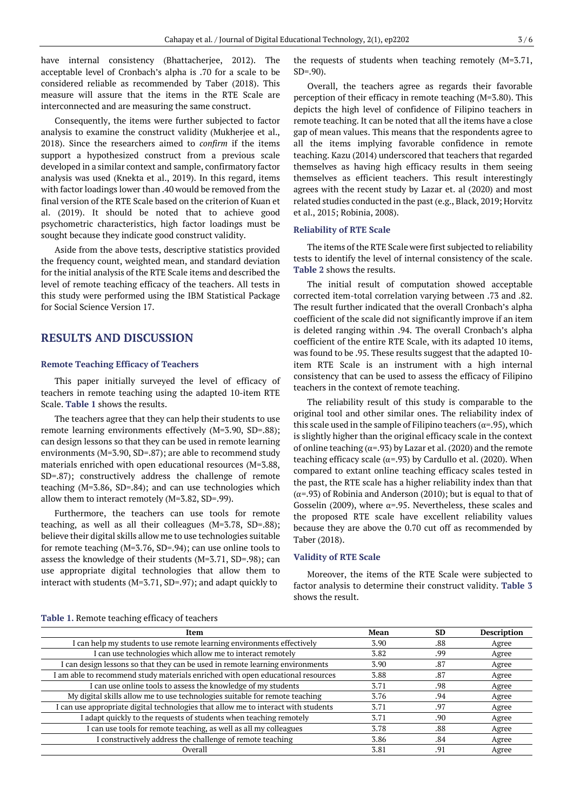have internal consistency (Bhattacherjee, 2012). The acceptable level of Cronbach's alpha is .70 for a scale to be considered reliable as recommended by Taber (2018). This measure will assure that the items in the RTE Scale are interconnected and are measuring the same construct.

Consequently, the items were further subjected to factor analysis to examine the construct validity (Mukherjee et al., 2018). Since the researchers aimed to *confirm* if the items support a hypothesized construct from a previous scale developed in a similar context and sample, confirmatory factor analysis was used (Knekta et al., 2019). In this regard, items with factor loadings lower than .40 would be removed from the final version of the RTE Scale based on the criterion of Kuan et al. (2019). It should be noted that to achieve good psychometric characteristics, high factor loadings must be sought because they indicate good construct validity.

Aside from the above tests, descriptive statistics provided the frequency count, weighted mean, and standard deviation for the initial analysis of the RTE Scale items and described the level of remote teaching efficacy of the teachers. All tests in this study were performed using the IBM Statistical Package for Social Science Version 17.

## **RESULTS AND DISCUSSION**

#### **Remote Teaching Efficacy of Teachers**

This paper initially surveyed the level of efficacy of teachers in remote teaching using the adapted 10-item RTE Scale. **Table 1** shows the results.

The teachers agree that they can help their students to use remote learning environments effectively (M=3.90, SD=.88); can design lessons so that they can be used in remote learning environments (M=3.90, SD=.87); are able to recommend study materials enriched with open educational resources (M=3.88, SD=.87); constructively address the challenge of remote teaching (M=3.86, SD=.84); and can use technologies which allow them to interact remotely (M=3.82, SD=.99).

Furthermore, the teachers can use tools for remote teaching, as well as all their colleagues (M=3.78, SD=.88); believe their digital skills allow me to use technologies suitable for remote teaching (M=3.76, SD=.94); can use online tools to assess the knowledge of their students (M=3.71, SD=.98); can use appropriate digital technologies that allow them to interact with students (M=3.71, SD=.97); and adapt quickly to

the requests of students when teaching remotely (M=3.71, SD=.90).

Overall, the teachers agree as regards their favorable perception of their efficacy in remote teaching (M=3.80). This depicts the high level of confidence of Filipino teachers in remote teaching. It can be noted that all the items have a close gap of mean values. This means that the respondents agree to all the items implying favorable confidence in remote teaching. Kazu (2014) underscored that teachers that regarded themselves as having high efficacy results in them seeing themselves as efficient teachers. This result interestingly agrees with the recent study by Lazar et. al (2020) and most related studies conducted in the past (e.g., Black, 2019; Horvitz et al., 2015; Robinia, 2008).

#### **Reliability of RTE Scale**

The items of the RTE Scale were first subjected to reliability tests to identify the level of internal consistency of the scale. **Table 2** shows the results.

The initial result of computation showed acceptable corrected item-total correlation varying between .73 and .82. The result further indicated that the overall Cronbach's alpha coefficient of the scale did not significantly improve if an item is deleted ranging within .94. The overall Cronbach's alpha coefficient of the entire RTE Scale, with its adapted 10 items, was found to be .95. These results suggest that the adapted 10 item RTE Scale is an instrument with a high internal consistency that can be used to assess the efficacy of Filipino teachers in the context of remote teaching.

The reliability result of this study is comparable to the original tool and other similar ones. The reliability index of this scale used in the sample of Filipino teachers ( $\alpha$ =.95), which is slightly higher than the original efficacy scale in the context of online teaching ( $\alpha$ =.93) by Lazar et al. (2020) and the remote teaching efficacy scale ( $\alpha$ =.93) by Cardullo et al. (2020). When compared to extant online teaching efficacy scales tested in the past, the RTE scale has a higher reliability index than that ( $α=0.93$ ) of Robinia and Anderson (2010); but is equal to that of Gosselin (2009), where  $\alpha$ =.95. Nevertheless, these scales and the proposed RTE scale have excellent reliability values because they are above the 0.70 cut off as recommended by Taber (2018).

#### **Validity of RTE Scale**

Moreover, the items of the RTE Scale were subjected to factor analysis to determine their construct validity. **Table 3** shows the result.

#### **Table 1.** Remote teaching efficacy of teachers

| Item                                                                               | Mean | SD  | <b>Description</b> |
|------------------------------------------------------------------------------------|------|-----|--------------------|
| I can help my students to use remote learning environments effectively             | 3.90 | .88 | Agree              |
| I can use technologies which allow me to interact remotely                         | 3.82 | .99 | Agree              |
| I can design lessons so that they can be used in remote learning environments      | 3.90 | .87 | Agree              |
| I am able to recommend study materials enriched with open educational resources    | 3.88 | .87 | Agree              |
| I can use online tools to assess the knowledge of my students                      | 3.71 | .98 | Agree              |
| My digital skills allow me to use technologies suitable for remote teaching        | 3.76 | .94 | Agree              |
| I can use appropriate digital technologies that allow me to interact with students | 3.71 | .97 | Agree              |
| I adapt quickly to the requests of students when teaching remotely                 | 3.71 | .90 | Agree              |
| I can use tools for remote teaching, as well as all my colleagues                  | 3.78 | .88 | Agree              |
| I constructively address the challenge of remote teaching                          | 3.86 | .84 | Agree              |
| Overall                                                                            | 3.81 | .91 | Agree              |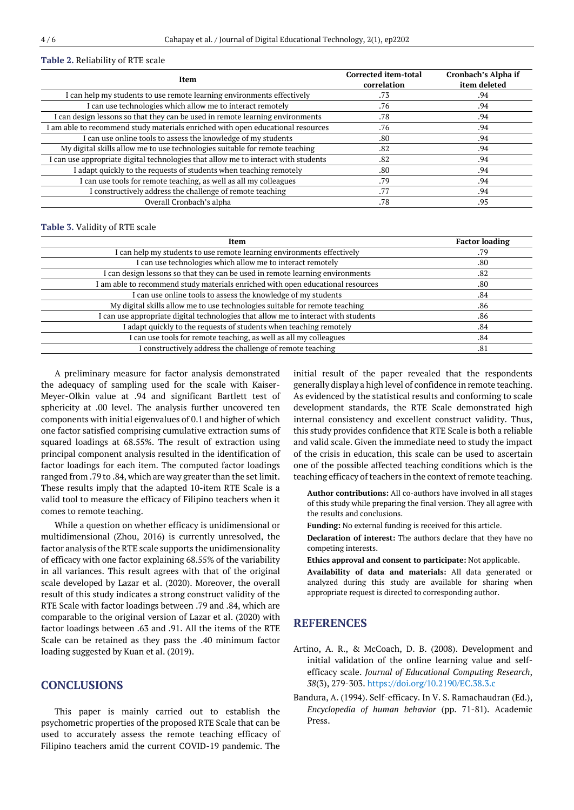#### **Table 2.** Reliability of RTE scale

| Item                                                                               | <b>Corrected item-total</b><br>correlation | Cronbach's Alpha if<br>item deleted |
|------------------------------------------------------------------------------------|--------------------------------------------|-------------------------------------|
| I can help my students to use remote learning environments effectively             | .73                                        | .94                                 |
| I can use technologies which allow me to interact remotely                         | .76                                        | .94                                 |
| I can design lessons so that they can be used in remote learning environments      | .78                                        | .94                                 |
| I am able to recommend study materials enriched with open educational resources    | .76                                        | .94                                 |
| I can use online tools to assess the knowledge of my students                      | .80                                        | .94                                 |
| My digital skills allow me to use technologies suitable for remote teaching        | .82                                        | .94                                 |
| I can use appropriate digital technologies that allow me to interact with students | .82                                        | .94                                 |
| I adapt quickly to the requests of students when teaching remotely                 | .80                                        | .94                                 |
| I can use tools for remote teaching, as well as all my colleagues                  | .79                                        | .94                                 |
| I constructively address the challenge of remote teaching                          | .77                                        | .94                                 |
| Overall Cronbach's alpha                                                           | .78                                        | .95                                 |

#### **Table 3.** Validity of RTE scale

| Item                                                                               | <b>Factor loading</b> |
|------------------------------------------------------------------------------------|-----------------------|
| I can help my students to use remote learning environments effectively             | .79                   |
| I can use technologies which allow me to interact remotely                         | .80                   |
| I can design lessons so that they can be used in remote learning environments      | .82                   |
| I am able to recommend study materials enriched with open educational resources    | .80                   |
| I can use online tools to assess the knowledge of my students                      | .84                   |
| My digital skills allow me to use technologies suitable for remote teaching        | .86                   |
| I can use appropriate digital technologies that allow me to interact with students | .86                   |
| I adapt quickly to the requests of students when teaching remotely                 | .84                   |
| I can use tools for remote teaching, as well as all my colleagues                  | .84                   |
| I constructively address the challenge of remote teaching                          | .81                   |
|                                                                                    |                       |

A preliminary measure for factor analysis demonstrated the adequacy of sampling used for the scale with Kaiser-Meyer-Olkin value at .94 and significant Bartlett test of sphericity at .00 level. The analysis further uncovered ten components with initial eigenvalues of 0.1 and higher of which one factor satisfied comprising cumulative extraction sums of squared loadings at 68.55%. The result of extraction using principal component analysis resulted in the identification of factor loadings for each item. The computed factor loadings ranged from .79 to .84, which are way greater than the set limit. These results imply that the adapted 10-item RTE Scale is a valid tool to measure the efficacy of Filipino teachers when it comes to remote teaching.

While a question on whether efficacy is unidimensional or multidimensional (Zhou, 2016) is currently unresolved, the factor analysis of the RTE scale supports the unidimensionality of efficacy with one factor explaining 68.55% of the variability in all variances. This result agrees with that of the original scale developed by Lazar et al. (2020). Moreover, the overall result of this study indicates a strong construct validity of the RTE Scale with factor loadings between .79 and .84, which are comparable to the original version of Lazar et al. (2020) with factor loadings between .63 and .91. All the items of the RTE Scale can be retained as they pass the .40 minimum factor loading suggested by Kuan et al. (2019).

## **CONCLUSIONS**

This paper is mainly carried out to establish the psychometric properties of the proposed RTE Scale that can be used to accurately assess the remote teaching efficacy of Filipino teachers amid the current COVID-19 pandemic. The initial result of the paper revealed that the respondents generally display a high level of confidence in remote teaching. As evidenced by the statistical results and conforming to scale development standards, the RTE Scale demonstrated high internal consistency and excellent construct validity. Thus, this study provides confidence that RTE Scale is both a reliable and valid scale. Given the immediate need to study the impact of the crisis in education, this scale can be used to ascertain one of the possible affected teaching conditions which is the teaching efficacy of teachers in the context of remote teaching.

**Author contributions:** All co-authors have involved in all stages of this study while preparing the final version. They all agree with the results and conclusions.

**Funding:** No external funding is received for this article.

**Declaration of interest:** The authors declare that they have no competing interests.

**Ethics approval and consent to participate:** Not applicable.

**Availability of data and materials:** All data generated or analyzed during this study are available for sharing when appropriate request is directed to corresponding author.

### **REFERENCES**

- Artino, A. R., & McCoach, D. B. (2008). Development and initial validation of the online learning value and selfefficacy scale. *Journal of Educational Computing Research*, *38*(3), 279-303. <https://doi.org/10.2190/EC.38.3.c>
- Bandura, A. (1994). Self-efficacy. In V. S. Ramachaudran (Ed.), *Encyclopedia of human behavior* (pp. 71-81). Academic Press.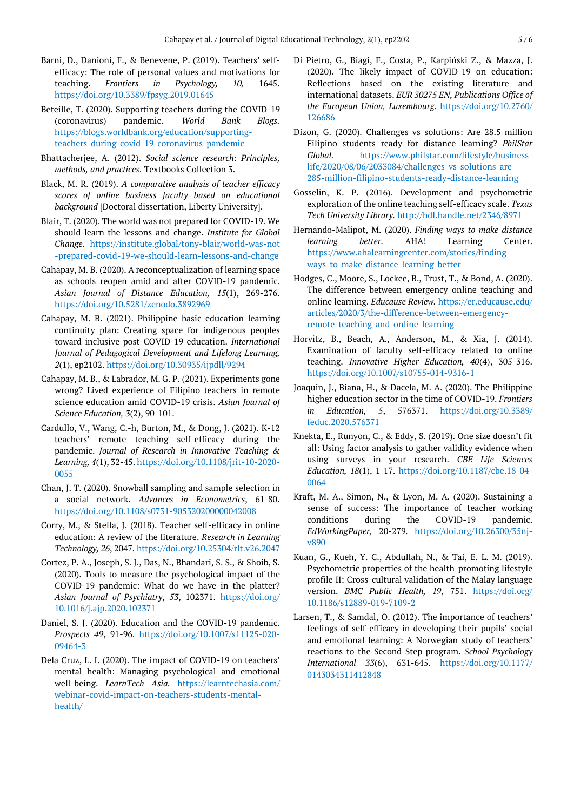- Barni, D., Danioni, F., & Benevene, P. (2019). Teachers' selfefficacy: The role of personal values and motivations for teaching. *Frontiers in Psychology, 10,* 1645. <https://doi.org/10.3389/fpsyg.2019.01645>
- Beteille, T. (2020). Supporting teachers during the COVID-19 (coronavirus) pandemic. *World Bank Blogs.* [https://blogs.worldbank.org/education/supporting](https://blogs.worldbank.org/education/supporting-teachers-during-covid-19-coronavirus-pandemic)[teachers-during-covid-19-coronavirus-pandemic](https://blogs.worldbank.org/education/supporting-teachers-during-covid-19-coronavirus-pandemic)
- Bhattacherjee, A. (2012). *Social science research: Principles, methods, and practices*. Textbooks Collection 3.
- Black, M. R. (2019). *A comparative analysis of teacher efficacy scores of online business faculty based on educational background* [Doctoral dissertation, Liberty University].
- Blair, T. (2020). The world was not prepared for COVID-19. We should learn the lessons and change. *Institute for Global Change.* [https://institute.global/tony-blair/world-was-not](https://institute.global/tony-blair/world-was-not-prepared-covid-19-we-should-learn-lessons-and-change) [-prepared-covid-19-we-should-learn-lessons-and-change](https://institute.global/tony-blair/world-was-not-prepared-covid-19-we-should-learn-lessons-and-change)
- Cahapay, M. B. (2020). A reconceptualization of learning space as schools reopen amid and after COVID-19 pandemic. *Asian Journal of Distance Education, 15*(1), 269-276. <https://doi.org/10.5281/zenodo.3892969>
- Cahapay, M. B. (2021). Philippine basic education learning continuity plan: Creating space for indigenous peoples toward inclusive post-COVID-19 education. *International Journal of Pedagogical Development and Lifelong Learning, 2*(1), ep2102. <https://doi.org/10.30935/ijpdll/9294>
- Cahapay, M. B., & Labrador, M. G. P. (2021). Experiments gone wrong? Lived experience of Filipino teachers in remote science education amid COVID-19 crisis. *Asian Journal of Science Education, 3*(2), 90-101.
- Cardullo, V., Wang, C.-h, Burton, M., & Dong, J. (2021). K-12 teachers' remote teaching self-efficacy during the pandemic. *Journal of Research in Innovative Teaching & Learning, 4*(1), 32-45. [https://doi.org/10.1108/jrit-10-2020-](https://doi.org/10.1108/jrit-10-2020-0055) [0055](https://doi.org/10.1108/jrit-10-2020-0055)
- Chan, J. T. (2020). Snowball sampling and sample selection in a social network. *Advances in Econometrics*, 61-80. <https://doi.org/10.1108/s0731-905320200000042008>
- Corry, M., & Stella, J. (2018). Teacher self-efficacy in online education: A review of the literature. *Research in Learning Technology, 26*, 2047*.* <https://doi.org/10.25304/rlt.v26.2047>
- Cortez, P. A., Joseph, S. J., Das, N., Bhandari, S. S., & Shoib, S. (2020). Tools to measure the psychological impact of the COVID-19 pandemic: What do we have in the platter? *Asian Journal of Psychiatry*, *53*, 102371. [https://doi.org/](https://doi.org/10.1016/j.ajp.2020.102371) [10.1016/j.ajp.2020.102371](https://doi.org/10.1016/j.ajp.2020.102371)
- Daniel, S. J. (2020). Education and the COVID-19 pandemic. *Prospects 49*, 91-96. [https://doi.org/10.1007/s11125-020-](https://doi.org/10.1007/s11125-020-09464-3) [09464-3](https://doi.org/10.1007/s11125-020-09464-3)
- Dela Cruz, L. I. (2020). The impact of COVID-19 on teachers' mental health: Managing psychological and emotional well-being. *LearnTech Asia.* [https://learntechasia.com/](https://learntechasia.com/webinar-covid-impact-on-teachers-students-mental-health/) [webinar-covid-impact-on-teachers-students-mental](https://learntechasia.com/webinar-covid-impact-on-teachers-students-mental-health/)[health/](https://learntechasia.com/webinar-covid-impact-on-teachers-students-mental-health/)
- Di Pietro, G., Biagi, F., Costa, P., Karpiński Z., & Mazza, J. (2020). The likely impact of COVID-19 on education: Reflections based on the existing literature and international datasets. *EUR 30275 EN, Publications Office of the European Union, Luxembourg.* [https://doi.org/10.2760/](https://doi.org/10.2760/126686) [126686](https://doi.org/10.2760/126686)
- Dizon, G. (2020). Challenges vs solutions: Are 28.5 million Filipino students ready for distance learning? *PhilStar Global.* [https://www.philstar.com/lifestyle/business](https://www.philstar.com/lifestyle/business-life/2020/08/06/2033084/challenges-vs-solutions-are-285-million-filipino-students-ready-distance-learning)[life/2020/08/06/2033084/challenges-vs-solutions-are-](https://www.philstar.com/lifestyle/business-life/2020/08/06/2033084/challenges-vs-solutions-are-285-million-filipino-students-ready-distance-learning)[285-million-filipino-students-ready-distance-learning](https://www.philstar.com/lifestyle/business-life/2020/08/06/2033084/challenges-vs-solutions-are-285-million-filipino-students-ready-distance-learning)
- Gosselin, K. P. (2016). Development and psychometric exploration of the online teaching self-efficacy scale. *Texas Tech University Library.* <http://hdl.handle.net/2346/8971>
- Hernando-Malipot, M. (2020). *Finding ways to make distance learning better.* AHA! Learning Center. [https://www.ahalearningcenter.com/stories/finding](https://www.ahalearningcenter.com/stories/finding-ways-to-make-distance-learning-better)[ways-to-make-distance-learning-better](https://www.ahalearningcenter.com/stories/finding-ways-to-make-distance-learning-better)
- Hodges, C., Moore, S., Lockee, B., Trust, T., & Bond, A. (2020). The difference between emergency online teaching and online learning. *Educause Review.* [https://er.educause.edu/](https://er.educause.edu/articles/2020/3/the-difference-between-emergency-remote-teaching-and-online-learning) [articles/2020/3/the-difference-between-emergency](https://er.educause.edu/articles/2020/3/the-difference-between-emergency-remote-teaching-and-online-learning)[remote-teaching-and-online-learning](https://er.educause.edu/articles/2020/3/the-difference-between-emergency-remote-teaching-and-online-learning)
- Horvitz, B., Beach, A., Anderson, M., & Xia, J. (2014). Examination of faculty self-efficacy related to online teaching. *Innovative Higher Education, 40*(4), 305-316. <https://doi.org/10.1007/s10755-014-9316-1>
- Joaquin, J., Biana, H., & Dacela, M. A. (2020). The Philippine higher education sector in the time of COVID-19. *Frontiers in Education, 5*, 576371. [https://doi.org/10.3389/](https://doi.org/10.3389/feduc.2020.576371) [feduc.2020.576371](https://doi.org/10.3389/feduc.2020.576371)
- Knekta, E., Runyon, C., & Eddy, S. (2019). One size doesn't fit all: Using factor analysis to gather validity evidence when using surveys in your research. *CBE—Life Sciences Education, 18*(1), 1-17. [https://doi.org/10.1187/cbe.18-04-](https://doi.org/10.1187/cbe.18-04-0064) [0064](https://doi.org/10.1187/cbe.18-04-0064)
- Kraft, M. A., Simon, N., & Lyon, M. A. (2020). Sustaining a sense of success: The importance of teacher working conditions during the COVID-19 pandemic. *EdWorkingPaper,* 20-279*.* [https://doi.org/10.26300/35nj](https://doi.org/10.26300/35nj-v890)[v890](https://doi.org/10.26300/35nj-v890)
- Kuan, G., Kueh, Y. C., Abdullah, N., & Tai, E. L. M. (2019). Psychometric properties of the health-promoting lifestyle profile II: Cross-cultural validation of the Malay language version. *BMC Public Health, 19*, 751. [https://doi.org/](https://doi.org/10.1186/s12889-019-7109-2) [10.1186/s12889-019-7109-2](https://doi.org/10.1186/s12889-019-7109-2)
- Larsen, T., & Samdal, O. (2012). The importance of teachers' feelings of self-efficacy in developing their pupils' social and emotional learning: A Norwegian study of teachers' reactions to the Second Step program. *School Psychology International 33*(6), 631-645. [https://doi.org/10.1177/](https://doi.org/10.1177/0143034311412848) [0143034311412848](https://doi.org/10.1177/0143034311412848)